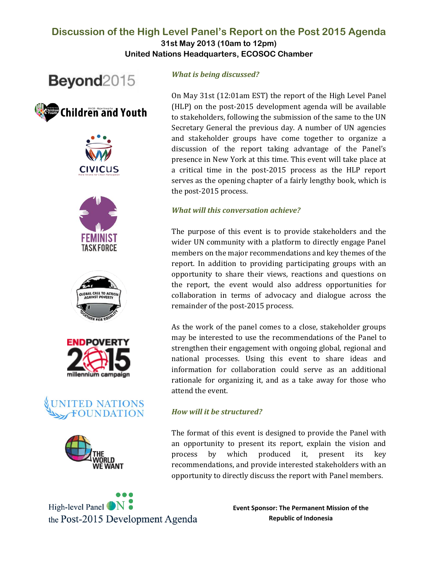# **Discussion of the High Level Panel's Report on the Post 2015 Agenda**

**31st May 2013 (10am to 12pm) United Nations Headquarters, ECOSOC Chamber**

















High-level Panel <sup>N</sup> the Post-2015 Development Agenda

## *What is being discussed?*

On May 31st (12:01am EST) the report of the High Level Panel (HLP) on the post-2015 development agenda will be available to stakeholders, following the submission of the same to the UN Secretary General the previous day. A number of UN agencies and stakeholder groups have come together to organize a discussion of the report taking advantage of the Panel's presence in New York at this time. This event will take place at a critical time in the post-2015 process as the HLP report serves as the opening chapter of a fairly lengthy book, which is the post-2015 process.

#### *What will this conversation achieve?*

The purpose of this event is to provide stakeholders and the wider UN community with a platform to directly engage Panel members on the major recommendations and key themes of the report. In addition to providing participating groups with an opportunity to share their views, reactions and questions on the report, the event would also address opportunities for collaboration in terms of advocacy and dialogue across the remainder of the post-2015 process.

As the work of the panel comes to a close, stakeholder groups may be interested to use the recommendations of the Panel to strengthen their engagement with ongoing global, regional and national processes. Using this event to share ideas and information for collaboration could serve as an additional rationale for organizing it, and as a take away for those who attend the event.

#### *How will it be structured?*

The format of this event is designed to provide the Panel with an opportunity to present its report, explain the vision and process by which produced it, present its key recommendations, and provide interested stakeholders with an opportunity to directly discuss the report with Panel members.

> **Event Sponsor: The Permanent Mission of the Republic of Indonesia**